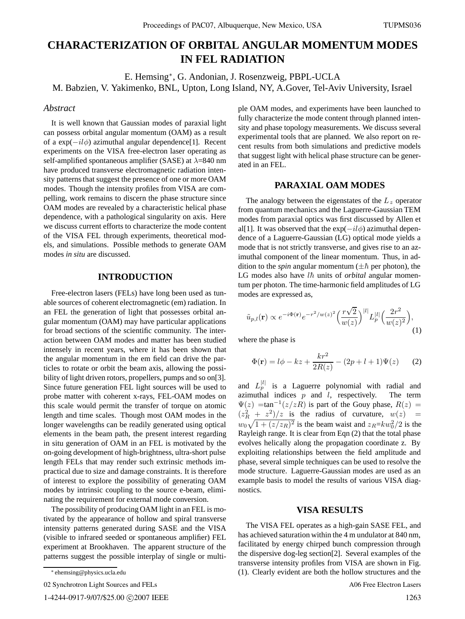# **CHARACTERIZATION OF ORBITAL ANGULAR MOMENTUM MODES IN FEL RADIATION**

E. Hemsing∗, G. Andonian, J. Rosenzweig, PBPL-UCLA M. Babzien, V. Yakimenko, BNL, Upton, Long Island, NY, A.Gover, Tel-Aviv University, Israel

#### *Abstract*

It is well known that Gaussian modes of paraxial light can possess orbital angular momentum (OAM) as a result of a  $exp(-il\phi)$  azimuthal angular dependence[1]. Recent experiments on the VISA free-electron laser operating as self-amplified spontaneous amplifier (SASE) at  $\lambda$ =840 nm have produced transverse electromagnetic radiation intensity patterns that suggest the presence of one or more OAM modes. Though the intensity profiles from VISA are compelling, work remains to discern the phase structure since OAM modes are revealed by a characteristic helical phase dependence, with a pathological singularity on axis. Here we discuss current efforts to characterize the mode content of the VISA FEL through experiments, theoretical models, and simulations. Possible methods to generate OAM modes *in situ* are discussed.

### **INTRODUCTION**

Free-electron lasers (FELs) have long been used as tunable sources of coherent electromagnetic (em) radiation. In an FEL the generation of light that possesses orbital angular momentum (OAM) may have particular applications for broad sections of the scientific community. The interaction between OAM modes and matter has been studied intensely in recent years, where it has been shown that the angular momentum in the em field can drive the particles to rotate or orbit the beam axis, allowing the possibility of light driven rotors, propellers, pumps and so on[3]. Since future generation FEL light sources will be used to probe matter with coherent x-rays, FEL-OAM modes on this scale would permit the transfer of torque on atomic length and time scales. Though most OAM modes in the longer wavelengths can be readily generated using optical elements in the beam path, the present interest regarding in situ generation of OAM in an FEL is motivated by the on-going development of high-brightness, ultra-short pulse length FELs that may render such extrinsic methods impractical due to size and damage constraints. It is therefore of interest to explore the possibility of generating OAM modes by intrinsic coupling to the source e-beam, eliminating the requirement for external mode conversion.

The possibility of producing OAM light in an FEL is motivated by the appearance of hollow and spiral transverse intensity patterns generated during SASE and the VISA (visible to infrared seeded or spontaneous amplifier) FEL experiment at Brookhaven. The apparent structure of the patterns suggest the possible interplay of single or multi-

02 Synchrotron Light Sources and FELs

1-4244-0917-9/07/\$25.00 C 2007 IEEE

ple OAM modes, and experiments have been launched to fully characterize the mode content through planned intensity and phase topology measurements. We discuss several experimental tools that are planned. We also report on recent results from both simulations and predictive models that suggest light with helical phase structure can be generated in an FEL.

#### **PARAXIAL OAM MODES**

The analogy between the eigenstates of the  $L<sub>z</sub>$  operator from quantum mechanics and the Laguerre-Gaussian TEM modes from paraxial optics was first discussed by Allen et al[1]. It was observed that the  $exp(-il\phi)$  azimuthal dependence of a Laguerre-Gaussian (LG) optical mode yields a mode that is not strictly transverse, and gives rise to an azimuthal component of the linear momentum. Thus, in addition to the *spin* angular momentum ( $\pm \hbar$  per photon), the LG modes also have  $l\hbar$  units of *orbital* angular momentum per photon. The time-harmonic field amplitudes of LG modes are expressed as,

$$
\tilde{u}_{p,l}(\mathbf{r}) \propto e^{-i\Phi(\mathbf{r})} e^{-r^2/w(z)^2} \left(\frac{r\sqrt{2}}{w(z)}\right)^{|l|} L_p^{|l|} \left(\frac{2r^2}{w(z)^2}\right),\tag{1}
$$

where the phase is

$$
\Phi(\mathbf{r}) = l\phi - kz + \frac{kr^2}{2R(z)} - (2p + l + 1)\Psi(z)
$$
 (2)

and  $L_p^{|l|}$  is a Laguerre polynomial with radial and azimuthal indices  $p$  and  $l$ , respectively. The term  $\Psi(z)$  =tan<sup>-1</sup>( $z/zR$ ) is part of the Gouy phase,  $R(z)$  =  $(z_R^2 + z^2)/z$  is the radius of curvature,  $w(z)$  =  $w_0\sqrt{1+(z/z_R)^2}$  is the beam waist and  $z_R=kw_0^2/2$  is the Rayleigh range. It is clear from Eqn (2) that the total phase evolves helically along the propagation coordinate z. By exploiting relationships between the field amplitude and phase, several simple techniques can be used to resolve the mode structure. Laguerre-Gaussian modes are used as an example basis to model the results of various VISA diagnostics.

## **VISA RESULTS**

The VISA FEL operates as a high-gain SASE FEL, and has achieved saturation within the 4 m undulator at 840 nm, facilitated by energy chirped bunch compression through the dispersive dog-leg section[2]. Several examples of the transverse intensity profiles from VISA are shown in Fig. (1). Clearly evident are both the hollow structures and the

A06 Free Electron Lasers

<sup>∗</sup> ehemsing@physics.ucla.edu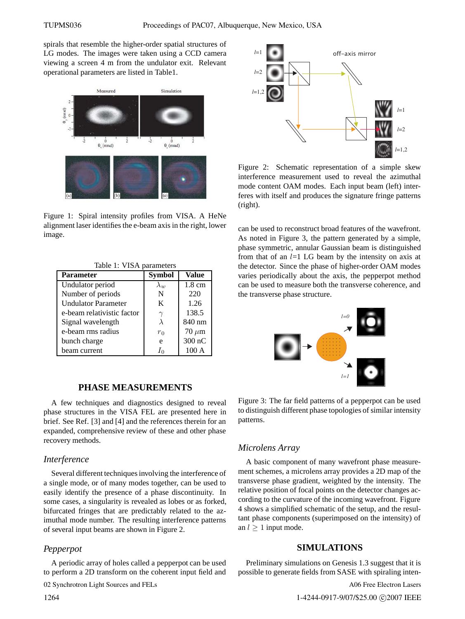spirals that resemble the higher-order spatial structures of LG modes. The images were taken using a CCD camera viewing a screen 4 m from the undulator exit. Relevant operational parameters are listed in Table1.



Figure 1: Spiral intensity profiles from VISA. A HeNe alignment laser identifies the e-beam axis in the right, lower image.

Table 1: VISA parameters

| <b>Parameter</b>           | <b>Symbol</b> | Value            |
|----------------------------|---------------|------------------|
| Undulator period           | $\lambda_{w}$ | $1.8 \text{ cm}$ |
| Number of periods          | N             | 220              |
| <b>Undulator Parameter</b> | K             | 1.26             |
| e-beam relativistic factor |               | 138.5            |
| Signal wavelength          | λ             | 840 nm           |
| e-beam rms radius          | $r_0$         | $70 \ \mu m$     |
| bunch charge               | e             | 300 nC           |
| beam current               | In            | 100A             |

# **PHASE MEASUREMENTS**

A few techniques and diagnostics designed to reveal phase structures in the VISA FEL are presented here in brief. See Ref. [3] and [4] and the references therein for an expanded, comprehensive review of these and other phase recovery methods.

#### *Interference*

Several different techniques involving the interference of a single mode, or of many modes together, can be used to easily identify the presence of a phase discontinuity. In some cases, a singularity is revealed as lobes or as forked, bifurcated fringes that are predictably related to the azimuthal mode number. The resulting interference patterns of several input beams are shown in Figure 2.

### *Pepperpot*

A periodic array of holes called a pepperpot can be used to perform a 2D transform on the coherent input field and

02 Synchrotron Light Sources and FELs



Figure 2: Schematic representation of a simple skew interference measurement used to reveal the azimuthal mode content OAM modes. Each input beam (left) interferes with itself and produces the signature fringe patterns (right).

can be used to reconstruct broad features of the wavefront. As noted in Figure 3, the pattern generated by a simple, phase symmetric, annular Gaussian beam is distinguished from that of an  $l=1$  LG beam by the intensity on axis at the detector. Since the phase of higher-order OAM modes varies periodically about the axis, the pepperpot method can be used to measure both the transverse coherence, and the transverse phase structure.



Figure 3: The far field patterns of a pepperpot can be used to distinguish different phase topologies of similar intensity patterns.

#### *Microlens Array*

A basic component of many wavefront phase measurement schemes, a microlens array provides a 2D map of the transverse phase gradient, weighted by the intensity. The relative position of focal points on the detector changes according to the curvature of the incoming wavefront. Figure 4 shows a simplified schematic of the setup, and the resultant phase components (superimposed on the intensity) of an  $l > 1$  input mode.

### **SIMULATIONS**

Preliminary simulations on Genesis 1.3 suggest that it is possible to generate fields from SASE with spiraling inten-

A06 Free Electron Lasers

1-4244-0917-9/07/\$25.00 C2007 IEEE